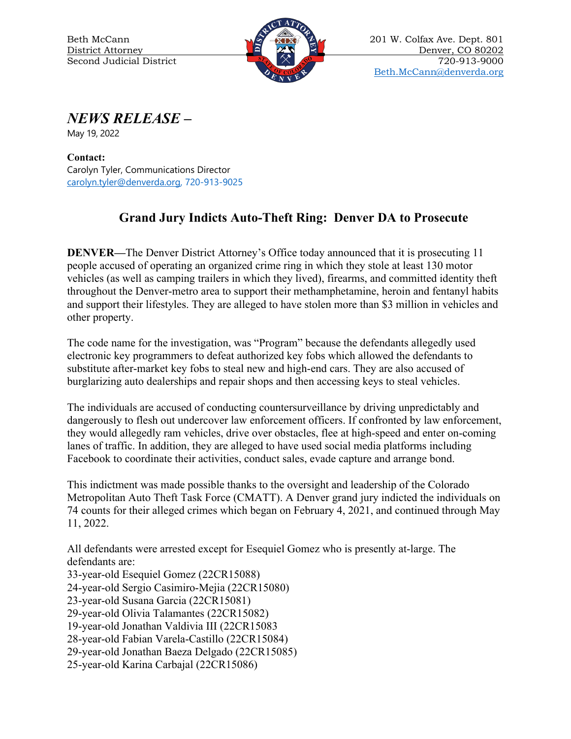

Beth McCann 201 W. Colfax Ave. Dept. 801 District Attorney 20 21 21 22 Denver, CO 80202 Second Judicial District  $\begin{array}{c} \begin{array}{c} \hline \end{array} \\ \hline \end{array}$   $\begin{array}{c} \hline \end{array}$   $\begin{array}{c} \hline \end{array}$  720-913-9000 [Beth.McCann@denverda.org](mailto:Beth.McCann@denverda.org)

*NEWS RELEASE* **–**

May 19, 2022

**Contact:**  Carolyn Tyler, Communications Director [carolyn.tyler@denverda.org,](mailto:carolyn.tyler@denverda.org) 720-913-9025

## **Grand Jury Indicts Auto-Theft Ring: Denver DA to Prosecute**

**DENVER—**The Denver District Attorney's Office today announced that it is prosecuting 11 people accused of operating an organized crime ring in which they stole at least 130 motor vehicles (as well as camping trailers in which they lived), firearms, and committed identity theft throughout the Denver-metro area to support their methamphetamine, heroin and fentanyl habits and support their lifestyles. They are alleged to have stolen more than \$3 million in vehicles and other property.

The code name for the investigation, was "Program" because the defendants allegedly used electronic key programmers to defeat authorized key fobs which allowed the defendants to substitute after-market key fobs to steal new and high-end cars. They are also accused of burglarizing auto dealerships and repair shops and then accessing keys to steal vehicles.

The individuals are accused of conducting countersurveillance by driving unpredictably and dangerously to flesh out undercover law enforcement officers. If confronted by law enforcement, they would allegedly ram vehicles, drive over obstacles, flee at high-speed and enter on-coming lanes of traffic. In addition, they are alleged to have used social media platforms including Facebook to coordinate their activities, conduct sales, evade capture and arrange bond.

This indictment was made possible thanks to the oversight and leadership of the Colorado Metropolitan Auto Theft Task Force (CMATT). A Denver grand jury indicted the individuals on 74 counts for their alleged crimes which began on February 4, 2021, and continued through May 11, 2022.

All defendants were arrested except for Esequiel Gomez who is presently at-large. The defendants are: 33-year-old Esequiel Gomez (22CR15088) 24-year-old Sergio Casimiro-Mejia (22CR15080) 23-year-old Susana Garcia (22CR15081)

29-year-old Olivia Talamantes (22CR15082)

19-year-old Jonathan Valdivia III (22CR15083

28-year-old Fabian Varela-Castillo (22CR15084)

29-year-old Jonathan Baeza Delgado (22CR15085)

25-year-old Karina Carbajal (22CR15086)